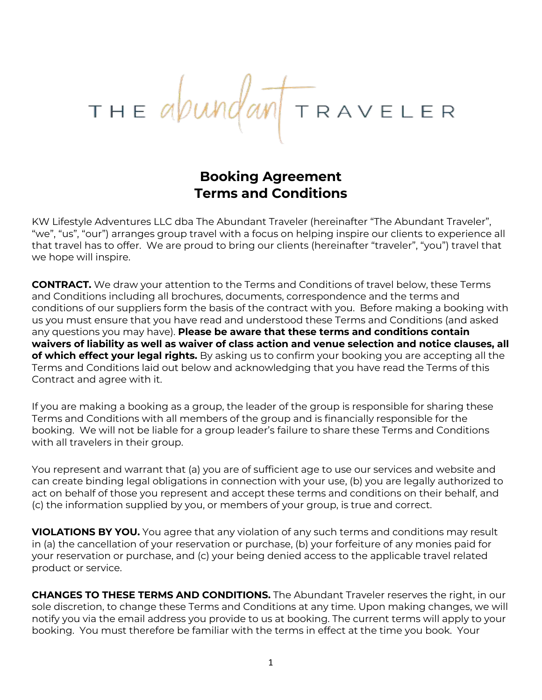# THE abundant TRAVELER

# **Booking Agreement Terms and Conditions**

KW Lifestyle Adventures LLC dba The Abundant Traveler (hereinafter "The Abundant Traveler", "we", "us", "our") arranges group travel with a focus on helping inspire our clients to experience all that travel has to offer. We are proud to bring our clients (hereinafter "traveler", "you") travel that we hope will inspire.

**CONTRACT.** We draw your attention to the Terms and Conditions of travel below, these Terms and Conditions including all brochures, documents, correspondence and the terms and conditions of our suppliers form the basis of the contract with you. Before making a booking with us you must ensure that you have read and understood these Terms and Conditions (and asked any questions you may have). **Please be aware that these terms and conditions contain waivers of liability as well as waiver of class action and venue selection and notice clauses, all of which effect your legal rights.** By asking us to confirm your booking you are accepting all the Terms and Conditions laid out below and acknowledging that you have read the Terms of this Contract and agree with it.

If you are making a booking as a group, the leader of the group is responsible for sharing these Terms and Conditions with all members of the group and is financially responsible for the booking. We will not be liable for a group leader's failure to share these Terms and Conditions with all travelers in their group.

You represent and warrant that (a) you are of sufficient age to use our services and website and can create binding legal obligations in connection with your use, (b) you are legally authorized to act on behalf of those you represent and accept these terms and conditions on their behalf, and (c) the information supplied by you, or members of your group, is true and correct.

**VIOLATIONS BY YOU.** You agree that any violation of any such terms and conditions may result in (a) the cancellation of your reservation or purchase, (b) your forfeiture of any monies paid for your reservation or purchase, and (c) your being denied access to the applicable travel related product or service.

**CHANGES TO THESE TERMS AND CONDITIONS.** The Abundant Traveler reserves the right, in our sole discretion, to change these Terms and Conditions at any time. Upon making changes, we will notify you via the email address you provide to us at booking. The current terms will apply to your booking. You must therefore be familiar with the terms in effect at the time you book. Your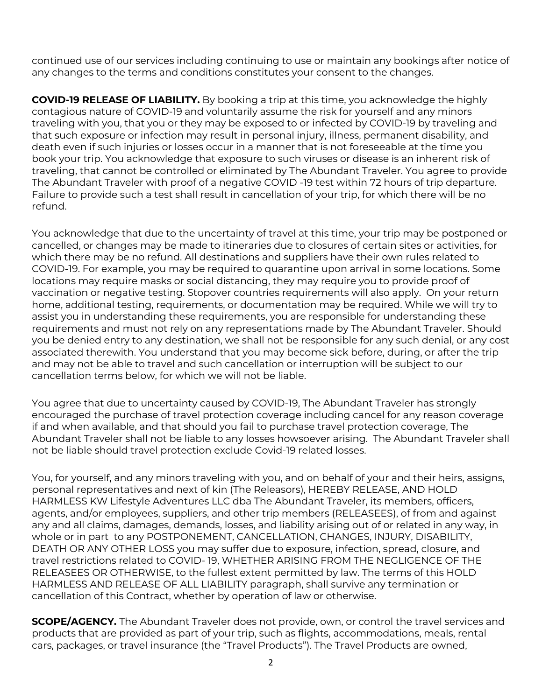continued use of our services including continuing to use or maintain any bookings after notice of any changes to the terms and conditions constitutes your consent to the changes.

**COVID-19 RELEASE OF LIABILITY.** By booking a trip at this time, you acknowledge the highly contagious nature of COVID-19 and voluntarily assume the risk for yourself and any minors traveling with you, that you or they may be exposed to or infected by COVID-19 by traveling and that such exposure or infection may result in personal injury, illness, permanent disability, and death even if such injuries or losses occur in a manner that is not foreseeable at the time you book your trip. You acknowledge that exposure to such viruses or disease is an inherent risk of traveling, that cannot be controlled or eliminated by The Abundant Traveler. You agree to provide The Abundant Traveler with proof of a negative COVID -19 test within 72 hours of trip departure. Failure to provide such a test shall result in cancellation of your trip, for which there will be no refund.

You acknowledge that due to the uncertainty of travel at this time, your trip may be postponed or cancelled, or changes may be made to itineraries due to closures of certain sites or activities, for which there may be no refund. All destinations and suppliers have their own rules related to COVID-19. For example, you may be required to quarantine upon arrival in some locations. Some locations may require masks or social distancing, they may require you to provide proof of vaccination or negative testing. Stopover countries requirements will also apply. On your return home, additional testing, requirements, or documentation may be required. While we will try to assist you in understanding these requirements, you are responsible for understanding these requirements and must not rely on any representations made by The Abundant Traveler. Should you be denied entry to any destination, we shall not be responsible for any such denial, or any cost associated therewith. You understand that you may become sick before, during, or after the trip and may not be able to travel and such cancellation or interruption will be subject to our cancellation terms below, for which we will not be liable.

You agree that due to uncertainty caused by COVID-19, The Abundant Traveler has strongly encouraged the purchase of travel protection coverage including cancel for any reason coverage if and when available, and that should you fail to purchase travel protection coverage, The Abundant Traveler shall not be liable to any losses howsoever arising. The Abundant Traveler shall not be liable should travel protection exclude Covid-19 related losses.

You, for yourself, and any minors traveling with you, and on behalf of your and their heirs, assigns, personal representatives and next of kin (The Releasors), HEREBY RELEASE, AND HOLD HARMLESS KW Lifestyle Adventures LLC dba The Abundant Traveler, its members, officers, agents, and/or employees, suppliers, and other trip members (RELEASEES), of from and against any and all claims, damages, demands, losses, and liability arising out of or related in any way, in whole or in part to any POSTPONEMENT, CANCELLATION, CHANGES, INJURY, DISABILITY, DEATH OR ANY OTHER LOSS you may suffer due to exposure, infection, spread, closure, and travel restrictions related to COVID- 19, WHETHER ARISING FROM THE NEGLIGENCE OF THE RELEASEES OR OTHERWISE, to the fullest extent permitted by law. The terms of this HOLD HARMLESS AND RELEASE OF ALL LIABILITY paragraph, shall survive any termination or cancellation of this Contract, whether by operation of law or otherwise.

**SCOPE/AGENCY.** The Abundant Traveler does not provide, own, or control the travel services and products that are provided as part of your trip, such as flights, accommodations, meals, rental cars, packages, or travel insurance (the "Travel Products"). The Travel Products are owned,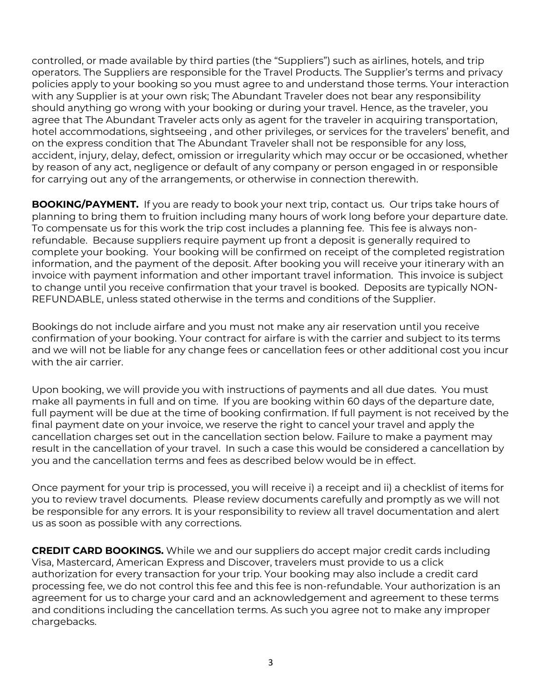controlled, or made available by third parties (the "Suppliers") such as airlines, hotels, and trip operators. The Suppliers are responsible for the Travel Products. The Supplier's terms and privacy policies apply to your booking so you must agree to and understand those terms. Your interaction with any Supplier is at your own risk; The Abundant Traveler does not bear any responsibility should anything go wrong with your booking or during your travel. Hence, as the traveler, you agree that The Abundant Traveler acts only as agent for the traveler in acquiring transportation, hotel accommodations, sightseeing , and other privileges, or services for the travelers' benefit, and on the express condition that The Abundant Traveler shall not be responsible for any loss, accident, injury, delay, defect, omission or irregularity which may occur or be occasioned, whether by reason of any act, negligence or default of any company or person engaged in or responsible for carrying out any of the arrangements, or otherwise in connection therewith.

**BOOKING/PAYMENT.** If you are ready to book your next trip, contact us. Our trips take hours of planning to bring them to fruition including many hours of work long before your departure date. To compensate us for this work the trip cost includes a planning fee. This fee is always nonrefundable. Because suppliers require payment up front a deposit is generally required to complete your booking. Your booking will be confirmed on receipt of the completed registration information, and the payment of the deposit. After booking you will receive your itinerary with an invoice with payment information and other important travel information. This invoice is subject to change until you receive confirmation that your travel is booked. Deposits are typically NON-REFUNDABLE, unless stated otherwise in the terms and conditions of the Supplier.

Bookings do not include airfare and you must not make any air reservation until you receive confirmation of your booking. Your contract for airfare is with the carrier and subject to its terms and we will not be liable for any change fees or cancellation fees or other additional cost you incur with the air carrier.

Upon booking, we will provide you with instructions of payments and all due dates. You must make all payments in full and on time. If you are booking within 60 days of the departure date, full payment will be due at the time of booking confirmation. If full payment is not received by the final payment date on your invoice, we reserve the right to cancel your travel and apply the cancellation charges set out in the cancellation section below. Failure to make a payment may result in the cancellation of your travel. In such a case this would be considered a cancellation by you and the cancellation terms and fees as described below would be in effect.

Once payment for your trip is processed, you will receive i) a receipt and ii) a checklist of items for you to review travel documents. Please review documents carefully and promptly as we will not be responsible for any errors. It is your responsibility to review all travel documentation and alert us as soon as possible with any corrections.

**CREDIT CARD BOOKINGS.** While we and our suppliers do accept major credit cards including Visa, Mastercard, American Express and Discover, travelers must provide to us a click authorization for every transaction for your trip. Your booking may also include a credit card processing fee, we do not control this fee and this fee is non-refundable. Your authorization is an agreement for us to charge your card and an acknowledgement and agreement to these terms and conditions including the cancellation terms. As such you agree not to make any improper chargebacks.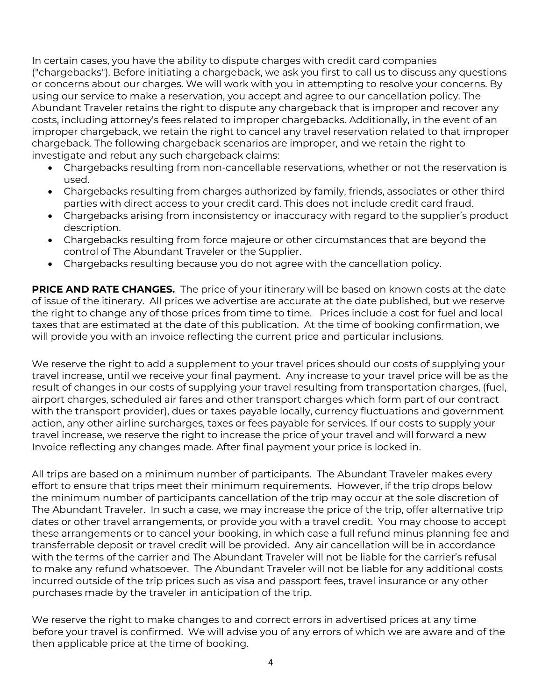In certain cases, you have the ability to dispute charges with credit card companies ("chargebacks"). Before initiating a chargeback, we ask you first to call us to discuss any questions or concerns about our charges. We will work with you in attempting to resolve your concerns. By using our service to make a reservation, you accept and agree to our cancellation policy. The Abundant Traveler retains the right to dispute any chargeback that is improper and recover any costs, including attorney's fees related to improper chargebacks. Additionally, in the event of an improper chargeback, we retain the right to cancel any travel reservation related to that improper chargeback. The following chargeback scenarios are improper, and we retain the right to investigate and rebut any such chargeback claims:

- Chargebacks resulting from non-cancellable reservations, whether or not the reservation is used.
- Chargebacks resulting from charges authorized by family, friends, associates or other third parties with direct access to your credit card. This does not include credit card fraud.
- Chargebacks arising from inconsistency or inaccuracy with regard to the supplier's product description.
- Chargebacks resulting from force majeure or other circumstances that are beyond the control of The Abundant Traveler or the Supplier.
- Chargebacks resulting because you do not agree with the cancellation policy.

**PRICE AND RATE CHANGES.** The price of your itinerary will be based on known costs at the date of issue of the itinerary. All prices we advertise are accurate at the date published, but we reserve the right to change any of those prices from time to time. Prices include a cost for fuel and local taxes that are estimated at the date of this publication. At the time of booking confirmation, we will provide you with an invoice reflecting the current price and particular inclusions.

We reserve the right to add a supplement to your travel prices should our costs of supplying your travel increase, until we receive your final payment. Any increase to your travel price will be as the result of changes in our costs of supplying your travel resulting from transportation charges, (fuel, airport charges, scheduled air fares and other transport charges which form part of our contract with the transport provider), dues or taxes payable locally, currency fluctuations and government action, any other airline surcharges, taxes or fees payable for services. If our costs to supply your travel increase, we reserve the right to increase the price of your travel and will forward a new Invoice reflecting any changes made. After final payment your price is locked in.

All trips are based on a minimum number of participants. The Abundant Traveler makes every effort to ensure that trips meet their minimum requirements. However, if the trip drops below the minimum number of participants cancellation of the trip may occur at the sole discretion of The Abundant Traveler. In such a case, we may increase the price of the trip, offer alternative trip dates or other travel arrangements, or provide you with a travel credit. You may choose to accept these arrangements or to cancel your booking, in which case a full refund minus planning fee and transferrable deposit or travel credit will be provided. Any air cancellation will be in accordance with the terms of the carrier and The Abundant Traveler will not be liable for the carrier's refusal to make any refund whatsoever. The Abundant Traveler will not be liable for any additional costs incurred outside of the trip prices such as visa and passport fees, travel insurance or any other purchases made by the traveler in anticipation of the trip.

We reserve the right to make changes to and correct errors in advertised prices at any time before your travel is confirmed. We will advise you of any errors of which we are aware and of the then applicable price at the time of booking.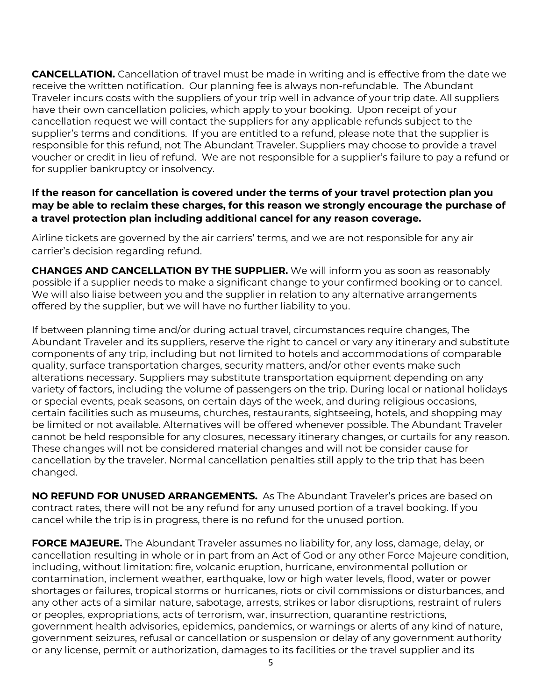**CANCELLATION.** Cancellation of travel must be made in writing and is effective from the date we receive the written notification. Our planning fee is always non-refundable. The Abundant Traveler incurs costs with the suppliers of your trip well in advance of your trip date. All suppliers have their own cancellation policies, which apply to your booking. Upon receipt of your cancellation request we will contact the suppliers for any applicable refunds subject to the supplier's terms and conditions. If you are entitled to a refund, please note that the supplier is responsible for this refund, not The Abundant Traveler. Suppliers may choose to provide a travel voucher or credit in lieu of refund. We are not responsible for a supplier's failure to pay a refund or for supplier bankruptcy or insolvency.

## **If the reason for cancellation is covered under the terms of your travel protection plan you may be able to reclaim these charges, for this reason we strongly encourage the purchase of a travel protection plan including additional cancel for any reason coverage.**

Airline tickets are governed by the air carriers' terms, and we are not responsible for any air carrier's decision regarding refund.

**CHANGES AND CANCELLATION BY THE SUPPLIER.** We will inform you as soon as reasonably possible if a supplier needs to make a significant change to your confirmed booking or to cancel. We will also liaise between you and the supplier in relation to any alternative arrangements offered by the supplier, but we will have no further liability to you.

If between planning time and/or during actual travel, circumstances require changes, The Abundant Traveler and its suppliers, reserve the right to cancel or vary any itinerary and substitute components of any trip, including but not limited to hotels and accommodations of comparable quality, surface transportation charges, security matters, and/or other events make such alterations necessary. Suppliers may substitute transportation equipment depending on any variety of factors, including the volume of passengers on the trip. During local or national holidays or special events, peak seasons, on certain days of the week, and during religious occasions, certain facilities such as museums, churches, restaurants, sightseeing, hotels, and shopping may be limited or not available. Alternatives will be offered whenever possible. The Abundant Traveler cannot be held responsible for any closures, necessary itinerary changes, or curtails for any reason. These changes will not be considered material changes and will not be consider cause for cancellation by the traveler. Normal cancellation penalties still apply to the trip that has been changed.

**NO REFUND FOR UNUSED ARRANGEMENTS.** As The Abundant Traveler's prices are based on contract rates, there will not be any refund for any unused portion of a travel booking. If you cancel while the trip is in progress, there is no refund for the unused portion.

**FORCE MAJEURE.** The Abundant Traveler assumes no liability for, any loss, damage, delay, or cancellation resulting in whole or in part from an Act of God or any other Force Majeure condition, including, without limitation: fire, volcanic eruption, hurricane, environmental pollution or contamination, inclement weather, earthquake, low or high water levels, flood, water or power shortages or failures, tropical storms or hurricanes, riots or civil commissions or disturbances, and any other acts of a similar nature, sabotage, arrests, strikes or labor disruptions, restraint of rulers or peoples, expropriations, acts of terrorism, war, insurrection, quarantine restrictions, government health advisories, epidemics, pandemics, or warnings or alerts of any kind of nature, government seizures, refusal or cancellation or suspension or delay of any government authority or any license, permit or authorization, damages to its facilities or the travel supplier and its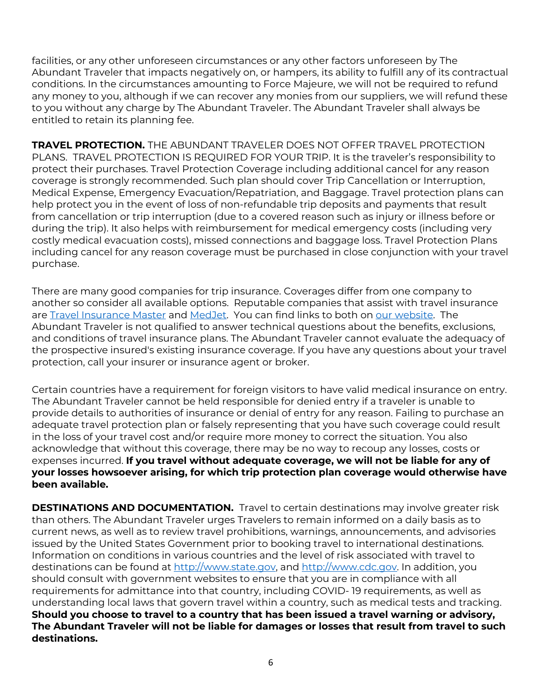facilities, or any other unforeseen circumstances or any other factors unforeseen by The Abundant Traveler that impacts negatively on, or hampers, its ability to fulfill any of its contractual conditions. In the circumstances amounting to Force Majeure, we will not be required to refund any money to you, although if we can recover any monies from our suppliers, we will refund these to you without any charge by The Abundant Traveler. The Abundant Traveler shall always be entitled to retain its planning fee.

**TRAVEL PROTECTION.** THE ABUNDANT TRAVELER DOES NOT OFFER TRAVEL PROTECTION PLANS. TRAVEL PROTECTION IS REQUIRED FOR YOUR TRIP. It is the traveler's responsibility to protect their purchases. Travel Protection Coverage including additional cancel for any reason coverage is strongly recommended. Such plan should cover Trip Cancellation or Interruption, Medical Expense, Emergency Evacuation/Repatriation, and Baggage. Travel protection plans can help protect you in the event of loss of non-refundable trip deposits and payments that result from cancellation or trip interruption (due to a covered reason such as injury or illness before or during the trip). It also helps with reimbursement for medical emergency costs (including very costly medical evacuation costs), missed connections and baggage loss. Travel Protection Plans including cancel for any reason coverage must be purchased in close conjunction with your travel purchase.

There are many good companies for trip insurance. Coverages differ from one company to another so consider all available options. Reputable companies that assist with travel insurance are Travel Insurance Master and MedJet. You can find links to both on our website. The Abundant Traveler is not qualified to answer technical questions about the benefits, exclusions, and conditions of travel insurance plans. The Abundant Traveler cannot evaluate the adequacy of the prospective insured's existing insurance coverage. If you have any questions about your travel protection, call your insurer or insurance agent or broker.

Certain countries have a requirement for foreign visitors to have valid medical insurance on entry. The Abundant Traveler cannot be held responsible for denied entry if a traveler is unable to provide details to authorities of insurance or denial of entry for any reason. Failing to purchase an adequate travel protection plan or falsely representing that you have such coverage could result in the loss of your travel cost and/or require more money to correct the situation. You also acknowledge that without this coverage, there may be no way to recoup any losses, costs or expenses incurred. **If you travel without adequate coverage, we will not be liable for any of your losses howsoever arising, for which trip protection plan coverage would otherwise have been available.** 

**DESTINATIONS AND DOCUMENTATION.** Travel to certain destinations may involve greater risk than others. The Abundant Traveler urges Travelers to remain informed on a daily basis as to current news, as well as to review travel prohibitions, warnings, announcements, and advisories issued by the United States Government prior to booking travel to international destinations. Information on conditions in various countries and the level of risk associated with travel to destinations can be found at http://www.state.gov, and http://www.cdc.gov. In addition, you should consult with government websites to ensure that you are in compliance with all requirements for admittance into that country, including COVID- 19 requirements, as well as understanding local laws that govern travel within a country, such as medical tests and tracking. **Should you choose to travel to a country that has been issued a travel warning or advisory, The Abundant Traveler will not be liable for damages or losses that result from travel to such destinations.**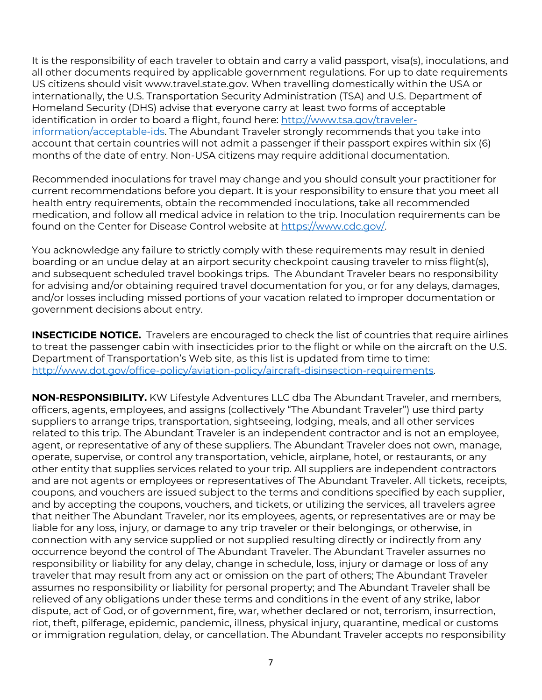It is the responsibility of each traveler to obtain and carry a valid passport, visa(s), inoculations, and all other documents required by applicable government regulations. For up to date requirements US citizens should visit www.travel.state.gov. When travelling domestically within the USA or internationally, the U.S. Transportation Security Administration (TSA) and U.S. Department of Homeland Security (DHS) advise that everyone carry at least two forms of acceptable identification in order to board a flight, found here: http://www.tsa.gov/travelerinformation/acceptable-ids. The Abundant Traveler strongly recommends that you take into account that certain countries will not admit a passenger if their passport expires within six (6) months of the date of entry. Non-USA citizens may require additional documentation.

Recommended inoculations for travel may change and you should consult your practitioner for current recommendations before you depart. It is your responsibility to ensure that you meet all health entry requirements, obtain the recommended inoculations, take all recommended medication, and follow all medical advice in relation to the trip. Inoculation requirements can be found on the Center for Disease Control website at https://www.cdc.gov/.

You acknowledge any failure to strictly comply with these requirements may result in denied boarding or an undue delay at an airport security checkpoint causing traveler to miss flight(s), and subsequent scheduled travel bookings trips. The Abundant Traveler bears no responsibility for advising and/or obtaining required travel documentation for you, or for any delays, damages, and/or losses including missed portions of your vacation related to improper documentation or government decisions about entry.

**INSECTICIDE NOTICE.** Travelers are encouraged to check the list of countries that require airlines to treat the passenger cabin with insecticides prior to the flight or while on the aircraft on the U.S. Department of Transportation's Web site, as this list is updated from time to time: http://www.dot.gov/office-policy/aviation-policy/aircraft-disinsection-requirements.

**NON-RESPONSIBILITY.** KW Lifestyle Adventures LLC dba The Abundant Traveler, and members, officers, agents, employees, and assigns (collectively "The Abundant Traveler") use third party suppliers to arrange trips, transportation, sightseeing, lodging, meals, and all other services related to this trip. The Abundant Traveler is an independent contractor and is not an employee, agent, or representative of any of these suppliers. The Abundant Traveler does not own, manage, operate, supervise, or control any transportation, vehicle, airplane, hotel, or restaurants, or any other entity that supplies services related to your trip. All suppliers are independent contractors and are not agents or employees or representatives of The Abundant Traveler. All tickets, receipts, coupons, and vouchers are issued subject to the terms and conditions specified by each supplier, and by accepting the coupons, vouchers, and tickets, or utilizing the services, all travelers agree that neither The Abundant Traveler, nor its employees, agents, or representatives are or may be liable for any loss, injury, or damage to any trip traveler or their belongings, or otherwise, in connection with any service supplied or not supplied resulting directly or indirectly from any occurrence beyond the control of The Abundant Traveler. The Abundant Traveler assumes no responsibility or liability for any delay, change in schedule, loss, injury or damage or loss of any traveler that may result from any act or omission on the part of others; The Abundant Traveler assumes no responsibility or liability for personal property; and The Abundant Traveler shall be relieved of any obligations under these terms and conditions in the event of any strike, labor dispute, act of God, or of government, fire, war, whether declared or not, terrorism, insurrection, riot, theft, pilferage, epidemic, pandemic, illness, physical injury, quarantine, medical or customs or immigration regulation, delay, or cancellation. The Abundant Traveler accepts no responsibility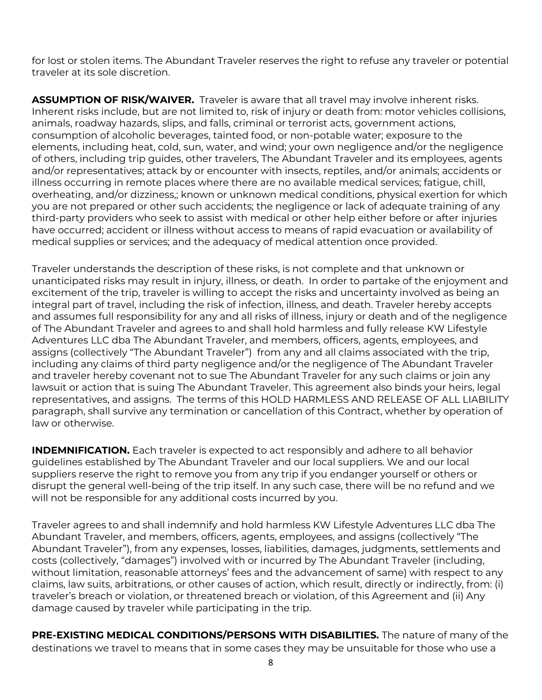for lost or stolen items. The Abundant Traveler reserves the right to refuse any traveler or potential traveler at its sole discretion.

**ASSUMPTION OF RISK/WAIVER.** Traveler is aware that all travel may involve inherent risks. Inherent risks include, but are not limited to, risk of injury or death from: motor vehicles collisions, animals, roadway hazards, slips, and falls, criminal or terrorist acts, government actions, consumption of alcoholic beverages, tainted food, or non-potable water; exposure to the elements, including heat, cold, sun, water, and wind; your own negligence and/or the negligence of others, including trip guides, other travelers, The Abundant Traveler and its employees, agents and/or representatives; attack by or encounter with insects, reptiles, and/or animals; accidents or illness occurring in remote places where there are no available medical services; fatigue, chill, overheating, and/or dizziness,; known or unknown medical conditions, physical exertion for which you are not prepared or other such accidents; the negligence or lack of adequate training of any third-party providers who seek to assist with medical or other help either before or after injuries have occurred; accident or illness without access to means of rapid evacuation or availability of medical supplies or services; and the adequacy of medical attention once provided.

Traveler understands the description of these risks, is not complete and that unknown or unanticipated risks may result in injury, illness, or death. In order to partake of the enjoyment and excitement of the trip, traveler is willing to accept the risks and uncertainty involved as being an integral part of travel, including the risk of infection, illness, and death. Traveler hereby accepts and assumes full responsibility for any and all risks of illness, injury or death and of the negligence of The Abundant Traveler and agrees to and shall hold harmless and fully release KW Lifestyle Adventures LLC dba The Abundant Traveler, and members, officers, agents, employees, and assigns (collectively "The Abundant Traveler") from any and all claims associated with the trip, including any claims of third party negligence and/or the negligence of The Abundant Traveler and traveler hereby covenant not to sue The Abundant Traveler for any such claims or join any lawsuit or action that is suing The Abundant Traveler. This agreement also binds your heirs, legal representatives, and assigns. The terms of this HOLD HARMLESS AND RELEASE OF ALL LIABILITY paragraph, shall survive any termination or cancellation of this Contract, whether by operation of law or otherwise.

**INDEMNIFICATION.** Each traveler is expected to act responsibly and adhere to all behavior guidelines established by The Abundant Traveler and our local suppliers. We and our local suppliers reserve the right to remove you from any trip if you endanger yourself or others or disrupt the general well-being of the trip itself. In any such case, there will be no refund and we will not be responsible for any additional costs incurred by you.

Traveler agrees to and shall indemnify and hold harmless KW Lifestyle Adventures LLC dba The Abundant Traveler, and members, officers, agents, employees, and assigns (collectively "The Abundant Traveler"), from any expenses, losses, liabilities, damages, judgments, settlements and costs (collectively, "damages") involved with or incurred by The Abundant Traveler (including, without limitation, reasonable attorneys' fees and the advancement of same) with respect to any claims, law suits, arbitrations, or other causes of action, which result, directly or indirectly, from: (i) traveler's breach or violation, or threatened breach or violation, of this Agreement and (ii) Any damage caused by traveler while participating in the trip.

**PRE-EXISTING MEDICAL CONDITIONS/PERSONS WITH DISABILITIES.** The nature of many of the destinations we travel to means that in some cases they may be unsuitable for those who use a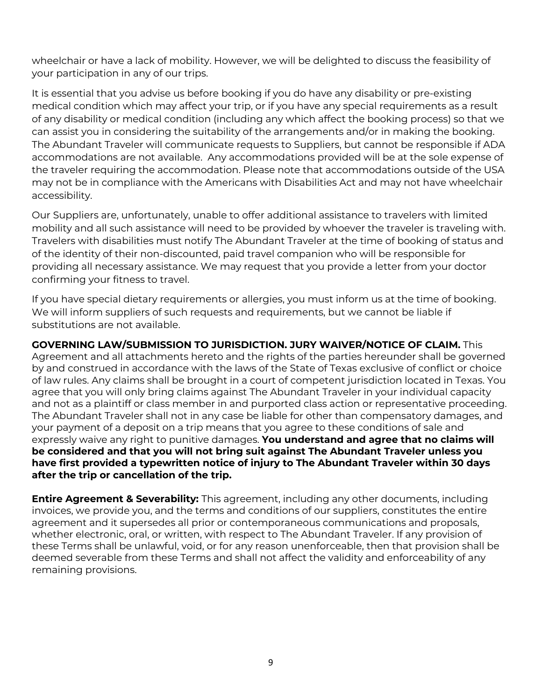wheelchair or have a lack of mobility. However, we will be delighted to discuss the feasibility of your participation in any of our trips.

It is essential that you advise us before booking if you do have any disability or pre-existing medical condition which may affect your trip, or if you have any special requirements as a result of any disability or medical condition (including any which affect the booking process) so that we can assist you in considering the suitability of the arrangements and/or in making the booking. The Abundant Traveler will communicate requests to Suppliers, but cannot be responsible if ADA accommodations are not available. Any accommodations provided will be at the sole expense of the traveler requiring the accommodation. Please note that accommodations outside of the USA may not be in compliance with the Americans with Disabilities Act and may not have wheelchair accessibility.

Our Suppliers are, unfortunately, unable to offer additional assistance to travelers with limited mobility and all such assistance will need to be provided by whoever the traveler is traveling with. Travelers with disabilities must notify The Abundant Traveler at the time of booking of status and of the identity of their non-discounted, paid travel companion who will be responsible for providing all necessary assistance. We may request that you provide a letter from your doctor confirming your fitness to travel.

If you have special dietary requirements or allergies, you must inform us at the time of booking. We will inform suppliers of such requests and requirements, but we cannot be liable if substitutions are not available.

**GOVERNING LAW/SUBMISSION TO JURISDICTION. JURY WAIVER/NOTICE OF CLAIM.** This Agreement and all attachments hereto and the rights of the parties hereunder shall be governed by and construed in accordance with the laws of the State of Texas exclusive of conflict or choice of law rules. Any claims shall be brought in a court of competent jurisdiction located in Texas. You agree that you will only bring claims against The Abundant Traveler in your individual capacity and not as a plaintiff or class member in and purported class action or representative proceeding. The Abundant Traveler shall not in any case be liable for other than compensatory damages, and your payment of a deposit on a trip means that you agree to these conditions of sale and expressly waive any right to punitive damages. **You understand and agree that no claims will be considered and that you will not bring suit against The Abundant Traveler unless you have first provided a typewritten notice of injury to The Abundant Traveler within 30 days after the trip or cancellation of the trip.** 

**Entire Agreement & Severability:** This agreement, including any other documents, including invoices, we provide you, and the terms and conditions of our suppliers, constitutes the entire agreement and it supersedes all prior or contemporaneous communications and proposals, whether electronic, oral, or written, with respect to The Abundant Traveler. If any provision of these Terms shall be unlawful, void, or for any reason unenforceable, then that provision shall be deemed severable from these Terms and shall not affect the validity and enforceability of any remaining provisions.